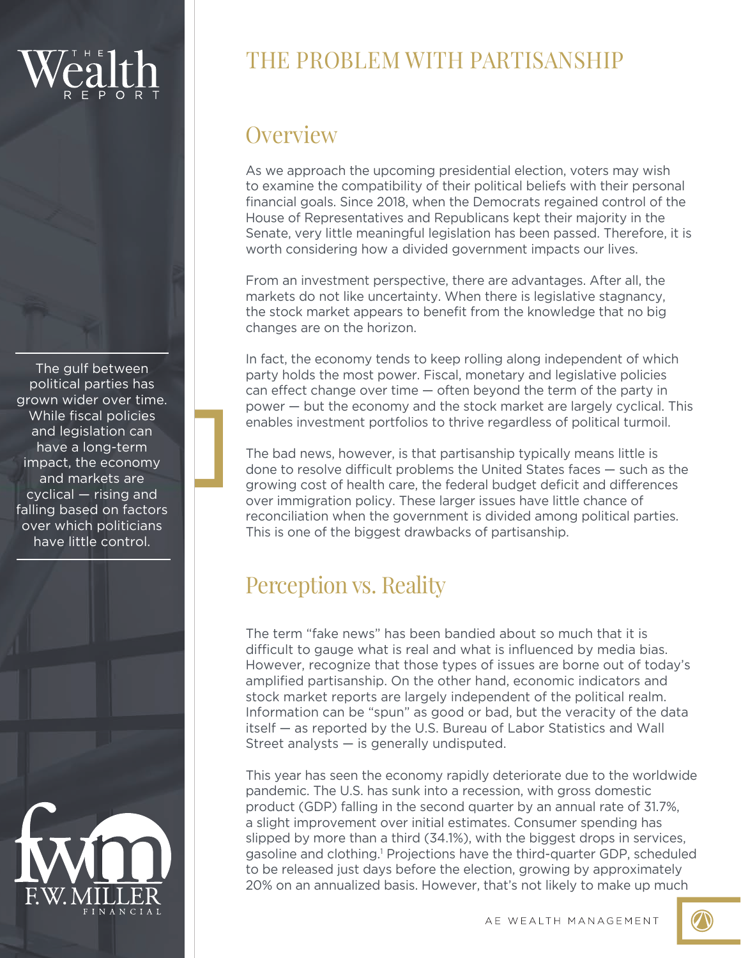The gulf between political parties has grown wider over time. While fiscal policies and legislation can have a long-term impact, the economy and markets are cyclical — rising and falling based on factors over which politicians have little control.



# THE PROBLEM WITH PARTISANSHIP

### **Overview**

As we approach the upcoming presidential election, voters may wish to examine the compatibility of their political beliefs with their personal financial goals. Since 2018, when the Democrats regained control of the House of Representatives and Republicans kept their majority in the Senate, very little meaningful legislation has been passed. Therefore, it is worth considering how a divided government impacts our lives.

From an investment perspective, there are advantages. After all, the markets do not like uncertainty. When there is legislative stagnancy, the stock market appears to benefit from the knowledge that no big changes are on the horizon.

In fact, the economy tends to keep rolling along independent of which party holds the most power. Fiscal, monetary and legislative policies can effect change over time — often beyond the term of the party in power — but the economy and the stock market are largely cyclical. This enables investment portfolios to thrive regardless of political turmoil.

The bad news, however, is that partisanship typically means little is done to resolve difficult problems the United States faces — such as the growing cost of health care, the federal budget deficit and differences over immigration policy. These larger issues have little chance of reconciliation when the government is divided among political parties. This is one of the biggest drawbacks of partisanship.

## Perception vs. Reality

The term "fake news" has been bandied about so much that it is difficult to gauge what is real and what is influenced by media bias. However, recognize that those types of issues are borne out of today's amplified partisanship. On the other hand, economic indicators and stock market reports are largely independent of the political realm. Information can be "spun" as good or bad, but the veracity of the data itself — as reported by the U.S. Bureau of Labor Statistics and Wall Street analysts — is generally undisputed.

This year has seen the economy rapidly deteriorate due to the worldwide pandemic. The U.S. has sunk into a recession, with gross domestic product (GDP) falling in the second quarter by an annual rate of 31.7%, a slight improvement over initial estimates. Consumer spending has slipped by more than a third (34.1%), with the biggest drops in services, gasoline and clothing.<sup>1</sup> Projections have the third-quarter GDP, scheduled to be released just days before the election, growing by approximately 20% on an annualized basis. However, that's not likely to make up much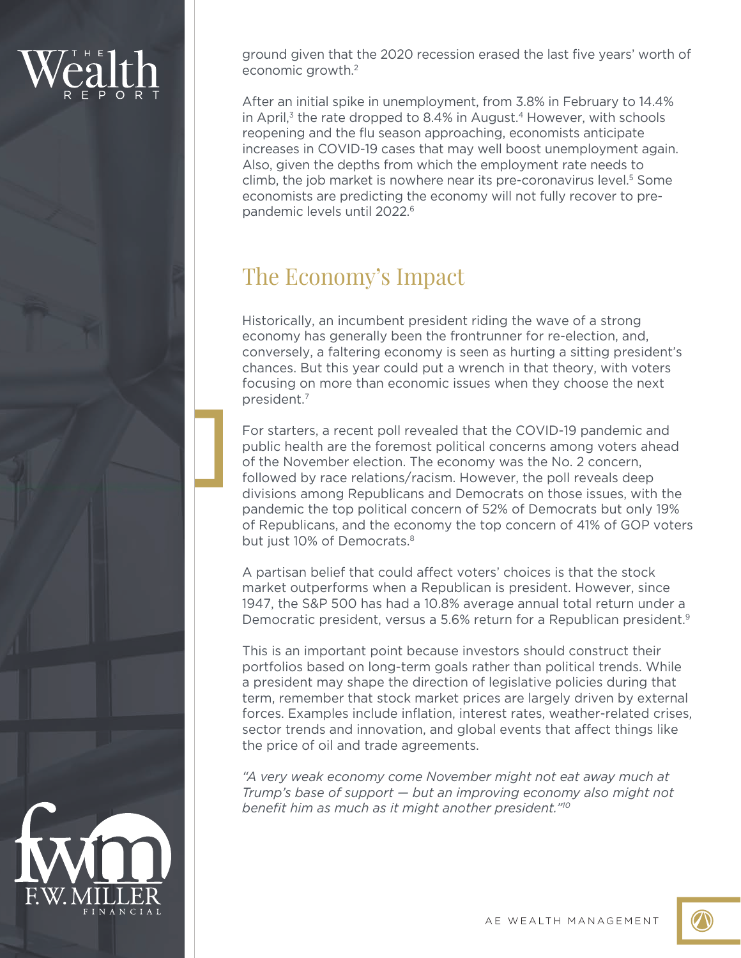ground given that the 2020 recession erased the last five years' worth of economic growth.2

After an initial spike in unemployment, from 3.8% in February to 14.4% in April, $3$  the rate dropped to 8.4% in August.<sup>4</sup> However, with schools reopening and the flu season approaching, economists anticipate increases in COVID-19 cases that may well boost unemployment again. Also, given the depths from which the employment rate needs to climb, the job market is nowhere near its pre-coronavirus level. <sup>5</sup> Some economists are predicting the economy will not fully recover to prepandemic levels until 2022.<sup>6</sup>

### The Economy's Impact

Historically, an incumbent president riding the wave of a strong economy has generally been the frontrunner for re-election, and, conversely, a faltering economy is seen as hurting a sitting president's chances. But this year could put a wrench in that theory, with voters focusing on more than economic issues when they choose the next president.7

For starters, a recent poll revealed that the COVID-19 pandemic and public health are the foremost political concerns among voters ahead of the November election. The economy was the No. 2 concern, followed by race relations/racism. However, the poll reveals deep divisions among Republicans and Democrats on those issues, with the pandemic the top political concern of 52% of Democrats but only 19% of Republicans, and the economy the top concern of 41% of GOP voters but just 10% of Democrats.<sup>8</sup>

A partisan belief that could affect voters' choices is that the stock market outperforms when a Republican is president. However, since 1947, the S&P 500 has had a 10.8% average annual total return under a Democratic president, versus a 5.6% return for a Republican president.<sup>9</sup>

This is an important point because investors should construct their portfolios based on long-term goals rather than political trends. While a president may shape the direction of legislative policies during that term, remember that stock market prices are largely driven by external forces. Examples include inflation, interest rates, weather-related crises, sector trends and innovation, and global events that affect things like the price of oil and trade agreements.

*"A very weak economy come November might not eat away much at Trump's base of support — but an improving economy also might not benefit him as much as it might another president."10*



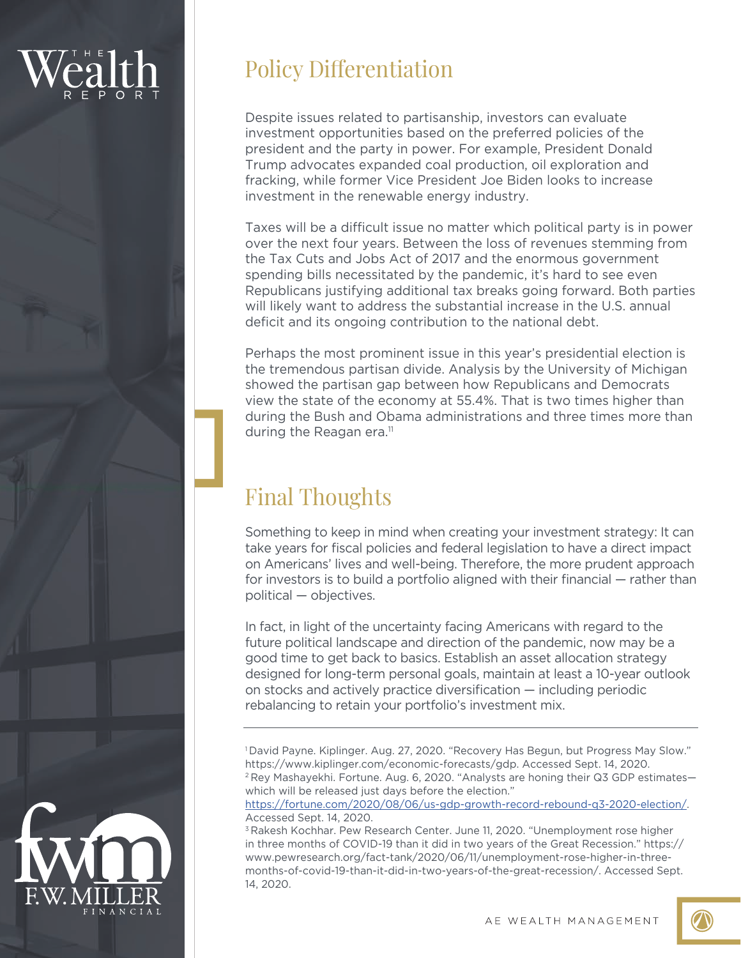## Policy Differentiation

Despite issues related to partisanship, investors can evaluate investment opportunities based on the preferred policies of the president and the party in power. For example, President Donald Trump advocates expanded coal production, oil exploration and fracking, while former Vice President Joe Biden looks to increase investment in the renewable energy industry.

Taxes will be a difficult issue no matter which political party is in power over the next four years. Between the loss of revenues stemming from the Tax Cuts and Jobs Act of 2017 and the enormous government spending bills necessitated by the pandemic, it's hard to see even Republicans justifying additional tax breaks going forward. Both parties will likely want to address the substantial increase in the U.S. annual deficit and its ongoing contribution to the national debt.

Perhaps the most prominent issue in this year's presidential election is the tremendous partisan divide. Analysis by the University of Michigan showed the partisan gap between how Republicans and Democrats view the state of the economy at 55.4%. That is two times higher than during the Bush and Obama administrations and three times more than during the Reagan era.<sup>11</sup>

# Final Thoughts

Something to keep in mind when creating your investment strategy: It can take years for fiscal policies and federal legislation to have a direct impact on Americans' lives and well-being. Therefore, the more prudent approach for investors is to build a portfolio aligned with their financial — rather than political — objectives.

In fact, in light of the uncertainty facing Americans with regard to the future political landscape and direction of the pandemic, now may be a good time to get back to basics. Establish an asset allocation strategy designed for long-term personal goals, maintain at least a 10-year outlook on stocks and actively practice diversification — including periodic rebalancing to retain your portfolio's investment mix.

<sup>1</sup> David Payne. Kiplinger. Aug. 27, 2020. "Recovery Has Begun, but Progress May Slow." https://www.kiplinger.com/economic-forecasts/gdp. Accessed Sept. 14, 2020. <sup>2</sup> Rey Mashayekhi. Fortune. Aug. 6, 2020. "Analysts are honing their Q3 GDP estimateswhich will be released just days before the election."

https://fortune.com/2020/08/06/us-gdp-growth-record-rebound-q3-2020-election/. Accessed Sept. 14, 2020.

<sup>3</sup> Rakesh Kochhar. Pew Research Center. June 11, 2020. "Unemployment rose higher in three months of COVID-19 than it did in two years of the Great Recession." https:// www.pewresearch.org/fact-tank/2020/06/11/unemployment-rose-higher-in-threemonths-of-covid-19-than-it-did-in-two-years-of-the-great-recession/. Accessed Sept. 14, 2020.